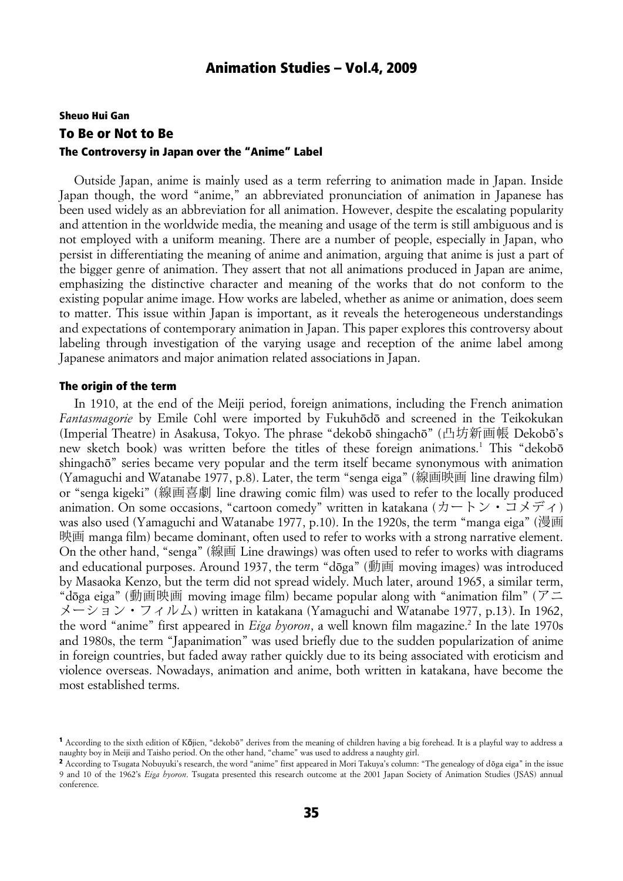# Sheuo Hui Gan To Be or Not to Be The Controversy in Japan over the "Anime" Label

Outside Japan, anime is mainly used as a term referring to animation made in Japan. Inside Japan though, the word "anime," an abbreviated pronunciation of animation in Japanese has been used widely as an abbreviation for all animation. However, despite the escalating popularity and attention in the worldwide media, the meaning and usage of the term is still ambiguous and is not employed with a uniform meaning. There are a number of people, especially in Japan, who persist in differentiating the meaning of anime and animation, arguing that anime is just a part of the bigger genre of animation. They assert that not all animations produced in Japan are anime, emphasizing the distinctive character and meaning of the works that do not conform to the existing popular anime image. How works are labeled, whether as anime or animation, does seem to matter. This issue within Japan is important, as it reveals the heterogeneous understandings and expectations of contemporary animation in Japan. This paper explores this controversy about labeling through investigation of the varying usage and reception of the anime label among Japanese animators and major animation related associations in Japan.

#### The origin of the term

In 1910, at the end of the Meiji period, foreign animations, including the French animation *Fantasmagorie* by Emile Cohl were imported by Fukuhōdō and screened in the Teikokukan (Imperial Theatre) in Asakusa, Tokyo. The phrase "dekobō shingachō" (凸坊新画帳 Dekobō's new sketch book) was written before the titles of these foreign animations.<sup>1</sup> This "dekobo shingachō" series became very popular and the term itself became synonymous with animation (Yamaguchi and Watanabe 1977, p.8). Later, the term "senga eiga" (線画映画 line drawing film) or "senga kigeki" (線画喜劇 line drawing comic film) was used to refer to the locally produced animation. On some occasions, "cartoon comedy" written in katakana (カートン・コメディ) was also used (Yamaguchi and Watanabe 1977, p.10). In the 1920s, the term "manga eiga" (漫画 映画 manga film) became dominant, often used to refer to works with a strong narrative element. On the other hand, "senga" (線画 Line drawings) was often used to refer to works with diagrams and educational purposes. Around 1937, the term "dōga" (動画 moving images) was introduced by Masaoka Kenzo, but the term did not spread widely. Much later, around 1965, a similar term, "dōga eiga" (動画映画 moving image film) became popular along with "animation film" (アニ  $\angle$   $\angle$   $\rightarrow$   $\angle$   $\rightarrow$   $\angle$   $\rightarrow$   $\angle$   $\land$   $\bot$ ) written in katakana (Yamaguchi and Watanabe 1977, p.13). In 1962, the word "anime" first appeared in *Eiga hyoron*, a well known film magazine.<sup>2</sup> In the late 1970s and 1980s, the term "Japanimation" was used briefly due to the sudden popularization of anime in foreign countries, but faded away rather quickly due to its being associated with eroticism and violence overseas. Nowadays, animation and anime, both written in katakana, have become the most established terms.

<sup>&</sup>lt;sup>1</sup> According to the sixth edition of Kōjien, "dekobō" derives from the meaning of children having a big forehead. It is a playful way to address a naughty boy in Meiji and Taisho period. On the other hand, "chame" was used to address a naughty girl.

<sup>2</sup> According to Tsugata Nobuyuki's research, the word "anime" first appeared in Mori Takuya's column: "The genealogy of dōga eiga" in the issue 9 and 10 of the 1962's *Eiga hyoron*. Tsugata presented this research outcome at the 2001 Japan Society of Animation Studies (JSAS) annual conference.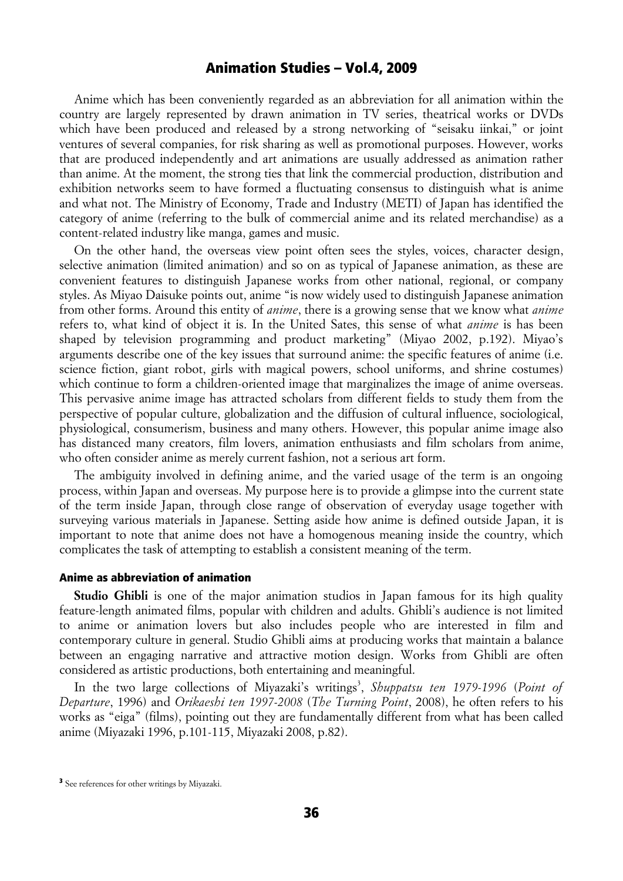Anime which has been conveniently regarded as an abbreviation for all animation within the country are largely represented by drawn animation in TV series, theatrical works or DVDs which have been produced and released by a strong networking of "seisaku iinkai," or joint ventures of several companies, for risk sharing as well as promotional purposes. However, works that are produced independently and art animations are usually addressed as animation rather than anime. At the moment, the strong ties that link the commercial production, distribution and exhibition networks seem to have formed a fluctuating consensus to distinguish what is anime and what not. The Ministry of Economy, Trade and Industry (METI) of Japan has identified the category of anime (referring to the bulk of commercial anime and its related merchandise) as a content-related industry like manga, games and music.

On the other hand, the overseas view point often sees the styles, voices, character design, selective animation (limited animation) and so on as typical of Japanese animation, as these are convenient features to distinguish Japanese works from other national, regional, or company styles. As Miyao Daisuke points out, anime "is now widely used to distinguish Japanese animation from other forms. Around this entity of *anime*, there is a growing sense that we know what *anime* refers to, what kind of object it is. In the United Sates, this sense of what *anime* is has been shaped by television programming and product marketing" (Miyao 2002, p.192). Miyao's arguments describe one of the key issues that surround anime: the specific features of anime (i.e. science fiction, giant robot, girls with magical powers, school uniforms, and shrine costumes) which continue to form a children-oriented image that marginalizes the image of anime overseas. This pervasive anime image has attracted scholars from different fields to study them from the perspective of popular culture, globalization and the diffusion of cultural influence, sociological, physiological, consumerism, business and many others. However, this popular anime image also has distanced many creators, film lovers, animation enthusiasts and film scholars from anime, who often consider anime as merely current fashion, not a serious art form.

The ambiguity involved in defining anime, and the varied usage of the term is an ongoing process, within Japan and overseas. My purpose here is to provide a glimpse into the current state of the term inside Japan, through close range of observation of everyday usage together with surveying various materials in Japanese. Setting aside how anime is defined outside Japan, it is important to note that anime does not have a homogenous meaning inside the country, which complicates the task of attempting to establish a consistent meaning of the term.

#### Anime as abbreviation of animation

Studio Ghibli is one of the major animation studios in Japan famous for its high quality feature-length animated films, popular with children and adults. Ghibli's audience is not limited to anime or animation lovers but also includes people who are interested in film and contemporary culture in general. Studio Ghibli aims at producing works that maintain a balance between an engaging narrative and attractive motion design. Works from Ghibli are often considered as artistic productions, both entertaining and meaningful.

In the two large collections of Miyazaki's writings<sup>3</sup>, Shuppatsu ten 1979-1996 (Point of *Departure*, 1996) and *Orikaeshi ten 1997-2008* (*The Turning Point*, 2008), he often refers to his works as "eiga" (films), pointing out they are fundamentally different from what has been called anime (Miyazaki 1996, p.101-115, Miyazaki 2008, p.82).

<sup>&</sup>lt;sup>3</sup> See references for other writings by Miyazaki.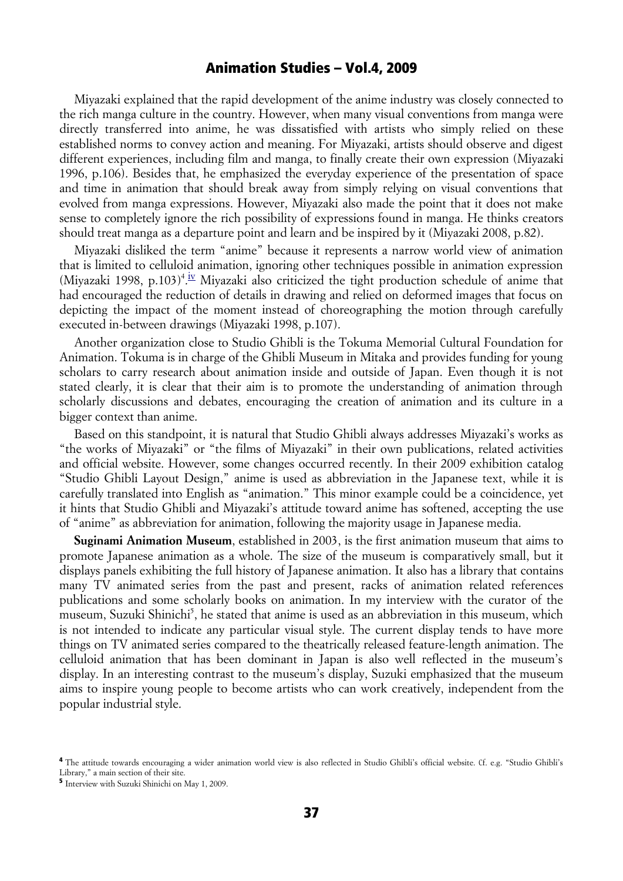Miyazaki explained that the rapid development of the anime industry was closely connected to the rich manga culture in the country. However, when many visual conventions from manga were directly transferred into anime, he was dissatisfied with artists who simply relied on these established norms to convey action and meaning. For Miyazaki, artists should observe and digest different experiences, including film and manga, to finally create their own expression (Miyazaki 1996, p.106). Besides that, he emphasized the everyday experience of the presentation of space and time in animation that should break away from simply relying on visual conventions that evolved from manga expressions. However, Miyazaki also made the point that it does not make sense to completely ignore the rich possibility of expressions found in manga. He thinks creators should treat manga as a departure point and learn and be inspired by it (Miyazaki 2008, p.82).

Miyazaki disliked the term "anime" because it represents a narrow world view of animation that is limited to celluloid animation, ignoring other techniques possible in animation expression (Miyazaki 1998, p.103)<sup>4</sup>.<sup>iv</sup> Miyazaki also criticized the tight production schedule of anime that had encouraged the reduction of details in drawing and relied on deformed images that focus on depicting the impact of the moment instead of choreographing the motion through carefully executed in-between drawings (Miyazaki 1998, p.107).

Another organization close to Studio Ghibli is the Tokuma Memorial Cultural Foundation for Animation. Tokuma is in charge of the Ghibli Museum in Mitaka and provides funding for young scholars to carry research about animation inside and outside of Japan. Even though it is not stated clearly, it is clear that their aim is to promote the understanding of animation through scholarly discussions and debates, encouraging the creation of animation and its culture in a bigger context than anime.

Based on this standpoint, it is natural that Studio Ghibli always addresses Miyazaki's works as "the works of Miyazaki" or "the films of Miyazaki" in their own publications, related activities and official website. However, some changes occurred recently. In their 2009 exhibition catalog "Studio Ghibli Layout Design," anime is used as abbreviation in the Japanese text, while it is carefully translated into English as "animation." This minor example could be a coincidence, yet it hints that Studio Ghibli and Miyazaki's attitude toward anime has softened, accepting the use of "anime" as abbreviation for animation, following the majority usage in Japanese media.

**Suginami Animation Museum**, established in 2003, is the first animation museum that aims to promote Japanese animation as a whole. The size of the museum is comparatively small, but it displays panels exhibiting the full history of Japanese animation. It also has a library that contains many TV animated series from the past and present, racks of animation related references publications and some scholarly books on animation. In my interview with the curator of the museum, Suzuki Shinichi<sup>5</sup>, he stated that anime is used as an abbreviation in this museum, which is not intended to indicate any particular visual style. The current display tends to have more things on TV animated series compared to the theatrically released feature-length animation. The celluloid animation that has been dominant in Japan is also well reflected in the museum's display. In an interesting contrast to the museum's display, Suzuki emphasized that the museum aims to inspire young people to become artists who can work creatively, independent from the popular industrial style.

<sup>&</sup>lt;sup>4</sup> The attitude towards encouraging a wider animation world view is also reflected in Studio Ghibli's official website. Cf. e.g. "Studio Ghibli's Library," a main section of their site.

<sup>5</sup> Interview with Suzuki Shinichi on May 1, 2009.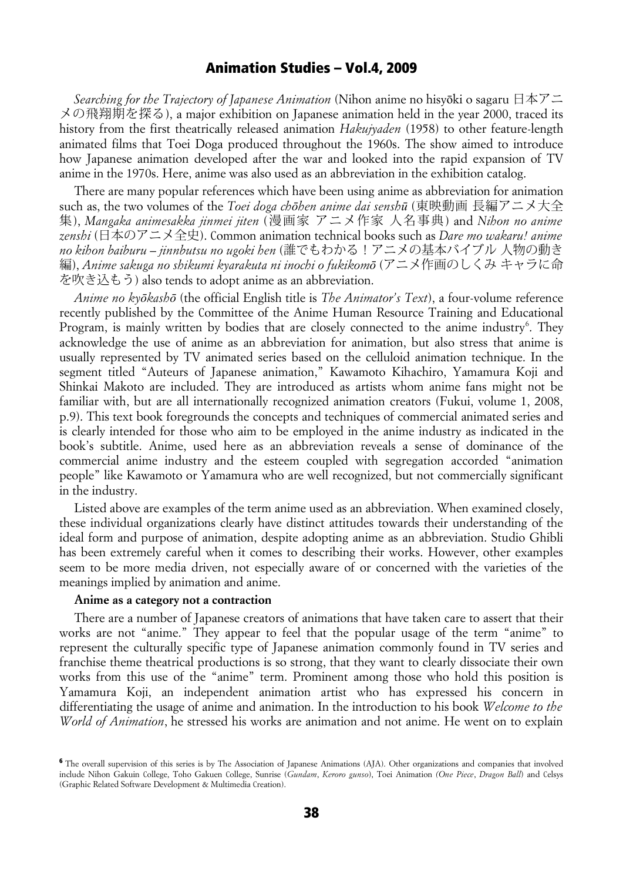*Searching for the Trajectory of Japanese Animation* (Nihon anime no hisyōki o sagaru 日本アニ メの飛翔期を探る), a major exhibition on Japanese animation held in the year 2000, traced its history from the first theatrically released animation *Hakujyaden* (1958) to other feature-length animated films that Toei Doga produced throughout the 1960s. The show aimed to introduce how Japanese animation developed after the war and looked into the rapid expansion of TV anime in the 1970s. Here, anime was also used as an abbreviation in the exhibition catalog.

There are many popular references which have been using anime as abbreviation for animation such as, the two volumes of the *Toei doga chōhen anime dai senshū* (東映動画 長編アニメ大全 集), *Mangaka animesakka jinmei jiten* (漫画家 アニメ作家 人名事典) and *Nihon no anime zenshi* (日本のアニメ全史). Common animation technical books such as *Dare mo wakaru! anime no kihon baiburu – jinnbutsu no ugoki hen* (誰でもわかる!アニメの基本バイブル 人物の動き 編), *Anime sakuga no shikumi kyarakuta ni inochi o fukikomō* (アニメ作画のしくみ キャラに命 を吹き込もう) also tends to adopt anime as an abbreviation.

*Anime no kyōkashō* (the official English title is *The Animator's Text*), a four-volume reference recently published by the Committee of the Anime Human Resource Training and Educational Program, is mainly written by bodies that are closely connected to the anime industry<sup>6</sup>. They acknowledge the use of anime as an abbreviation for animation, but also stress that anime is usually represented by TV animated series based on the celluloid animation technique. In the segment titled "Auteurs of Japanese animation," Kawamoto Kihachiro, Yamamura Koji and Shinkai Makoto are included. They are introduced as artists whom anime fans might not be familiar with, but are all internationally recognized animation creators (Fukui, volume 1, 2008, p.9). This text book foregrounds the concepts and techniques of commercial animated series and is clearly intended for those who aim to be employed in the anime industry as indicated in the book's subtitle. Anime, used here as an abbreviation reveals a sense of dominance of the commercial anime industry and the esteem coupled with segregation accorded "animation people" like Kawamoto or Yamamura who are well recognized, but not commercially significant in the industry.

Listed above are examples of the term anime used as an abbreviation. When examined closely, these individual organizations clearly have distinct attitudes towards their understanding of the ideal form and purpose of animation, despite adopting anime as an abbreviation. Studio Ghibli has been extremely careful when it comes to describing their works. However, other examples seem to be more media driven, not especially aware of or concerned with the varieties of the meanings implied by animation and anime.

#### **Anime as a category not a contraction**

There are a number of Japanese creators of animations that have taken care to assert that their works are not "anime." They appear to feel that the popular usage of the term "anime" to represent the culturally specific type of Japanese animation commonly found in TV series and franchise theme theatrical productions is so strong, that they want to clearly dissociate their own works from this use of the "anime" term. Prominent among those who hold this position is Yamamura Koji, an independent animation artist who has expressed his concern in differentiating the usage of anime and animation. In the introduction to his book *Welcome to the World of Animation*, he stressed his works are animation and not anime. He went on to explain

<sup>&</sup>lt;sup>6</sup> The overall supervision of this series is by The Association of Japanese Animations (AJA). Other organizations and companies that involved include Nihon Gakuin College, Toho Gakuen College, Sunrise (*Gundam*, *Keroro gunso*), Toei Animation *(One Piece*, *Dragon Ball*) and Celsys (Graphic Related Software Development & Multimedia Creation).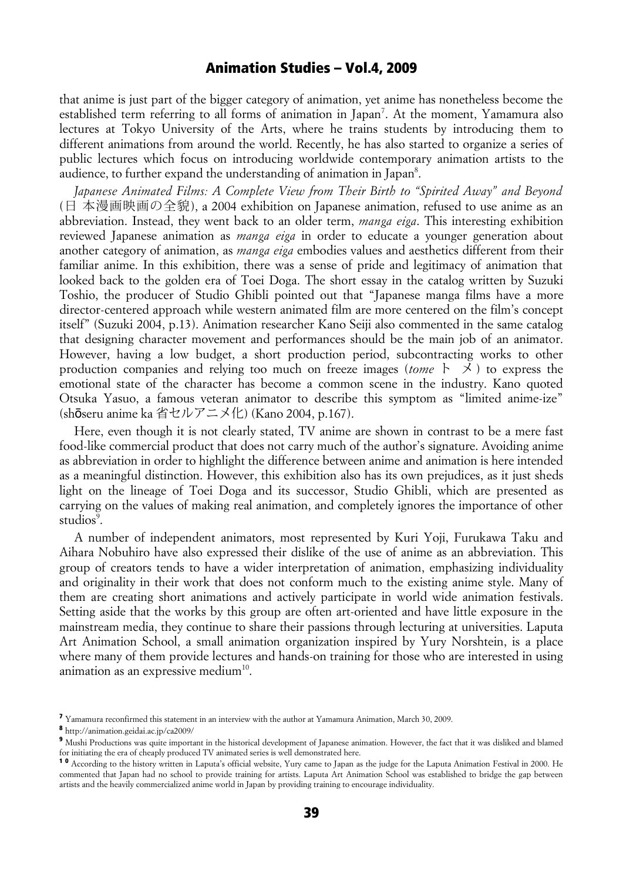that anime is just part of the bigger category of animation, yet anime has nonetheless become the established term referring to all forms of animation in Japan<sup>7</sup>. At the moment, Yamamura also lectures at Tokyo University of the Arts, where he trains students by introducing them to different animations from around the world. Recently, he has also started to organize a series of public lectures which focus on introducing worldwide contemporary animation artists to the audience, to further expand the understanding of animation in Japan<sup>8</sup>.

*Japanese Animated Films: A Complete View from Their Birth to "Spirited Away" and Beyond* (日 本漫画映画の全貌), a 2004 exhibition on Japanese animation, refused to use anime as an abbreviation. Instead, they went back to an older term, *manga eiga*. This interesting exhibition reviewed Japanese animation as *manga eiga* in order to educate a younger generation about another category of animation, as *manga eiga* embodies values and aesthetics different from their familiar anime. In this exhibition, there was a sense of pride and legitimacy of animation that looked back to the golden era of Toei Doga. The short essay in the catalog written by Suzuki Toshio, the producer of Studio Ghibli pointed out that "Japanese manga films have a more director-centered approach while western animated film are more centered on the film's concept itself" (Suzuki 2004, p.13). Animation researcher Kano Seiji also commented in the same catalog that designing character movement and performances should be the main job of an animator. However, having a low budget, a short production period, subcontracting works to other production companies and relying too much on freeze images (*tome* ト メ ) to express the emotional state of the character has become a common scene in the industry. Kano quoted Otsuka Yasuo, a famous veteran animator to describe this symptom as "limited anime-ize" (shō seru anime ka 省セルアニメ化) (Kano 2004, p.167).

Here, even though it is not clearly stated, TV anime are shown in contrast to be a mere fast food-like commercial product that does not carry much of the author's signature. Avoiding anime as abbreviation in order to highlight the difference between anime and animation is here intended as a meaningful distinction. However, this exhibition also has its own prejudices, as it just sheds light on the lineage of Toei Doga and its successor, Studio Ghibli, which are presented as carrying on the values of making real animation, and completely ignores the importance of other studios<sup>9</sup>.

A number of independent animators, most represented by Kuri Yoji, Furukawa Taku and Aihara Nobuhiro have also expressed their dislike of the use of anime as an abbreviation. This group of creators tends to have a wider interpretation of animation, emphasizing individuality and originality in their work that does not conform much to the existing anime style. Many of them are creating short animations and actively participate in world wide animation festivals. Setting aside that the works by this group are often art-oriented and have little exposure in the mainstream media, they continue to share their passions through lecturing at universities. Laputa Art Animation School, a small animation organization inspired by Yury Norshtein, is a place where many of them provide lectures and hands-on training for those who are interested in using animation as an expressive medium $10$ .

<sup>7</sup> Yamamura reconfirmed this statement in an interview with the author at Yamamura Animation, March 30, 2009.

<sup>8</sup> http://animation.geidai.ac.jp/ca2009/

<sup>&</sup>lt;sup>9</sup> Mushi Productions was quite important in the historical development of Japanese animation. However, the fact that it was disliked and blamed for initiating the era of cheaply produced TV animated series is well demonstrated here.

<sup>1 0</sup> According to the history written in Laputa's official website, Yury came to Japan as the judge for the Laputa Animation Festival in 2000. He commented that Japan had no school to provide training for artists. Laputa Art Animation School was established to bridge the gap between artists and the heavily commercialized anime world in Japan by providing training to encourage individuality.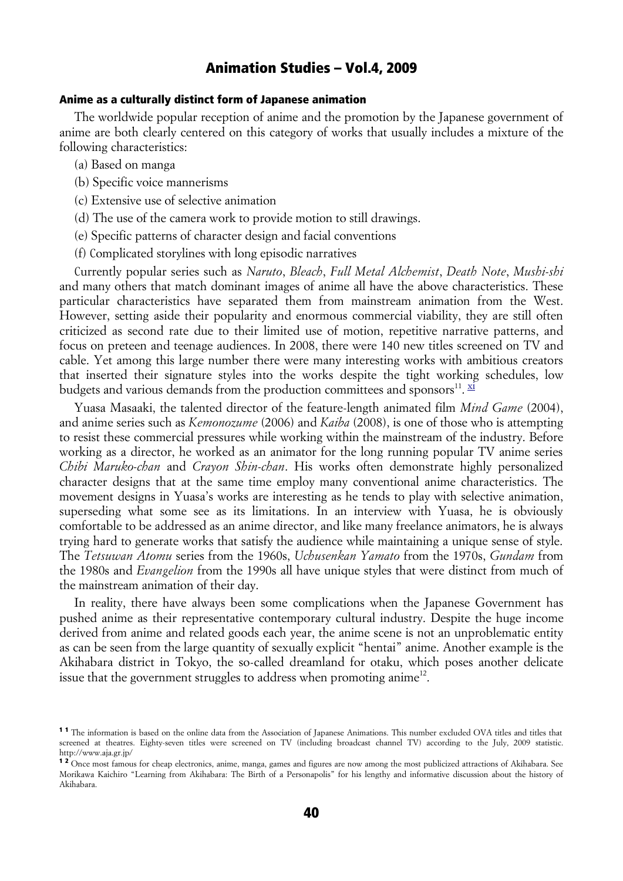#### Anime as a culturally distinct form of Japanese animation

The worldwide popular reception of anime and the promotion by the Japanese government of anime are both clearly centered on this category of works that usually includes a mixture of the following characteristics:

- (a) Based on manga
- (b) Specific voice mannerisms
- (c) Extensive use of selective animation
- (d) The use of the camera work to provide motion to still drawings.
- (e) Specific patterns of character design and facial conventions
- (f) Complicated storylines with long episodic narratives

Currently popular series such as *Naruto*, *Bleach*, *Full Metal Alchemist*, *Death Note*, *Mushi-shi* and many others that match dominant images of anime all have the above characteristics. These particular characteristics have separated them from mainstream animation from the West. However, setting aside their popularity and enormous commercial viability, they are still often criticized as second rate due to their limited use of motion, repetitive narrative patterns, and focus on preteen and teenage audiences. In 2008, there were 140 new titles screened on TV and cable. Yet among this large number there were many interesting works with ambitious creators that inserted their signature styles into the works despite the tight working schedules, low budgets and various demands from the production committees and sponsors<sup>11</sup>.  $\frac{xi}{ }$ 

Yuasa Masaaki, the talented director of the feature-length animated film *Mind Game* (2004), and anime series such as *Kemonozume* (2006) and *Kaiba* (2008), is one of those who is attempting to resist these commercial pressures while working within the mainstream of the industry. Before working as a director, he worked as an animator for the long running popular TV anime series *Chibi Maruko-chan* and *Crayon Shin-chan*. His works often demonstrate highly personalized character designs that at the same time employ many conventional anime characteristics. The movement designs in Yuasa's works are interesting as he tends to play with selective animation, superseding what some see as its limitations. In an interview with Yuasa, he is obviously comfortable to be addressed as an anime director, and like many freelance animators, he is always trying hard to generate works that satisfy the audience while maintaining a unique sense of style. The *Tetsuwan Atomu* series from the 1960s, *Uchusenkan Yamato* from the 1970s, *Gundam* from the 1980s and *Evangelion* from the 1990s all have unique styles that were distinct from much of the mainstream animation of their day.

In reality, there have always been some complications when the Japanese Government has pushed anime as their representative contemporary cultural industry. Despite the huge income derived from anime and related goods each year, the anime scene is not an unproblematic entity as can be seen from the large quantity of sexually explicit "hentai" anime. Another example is the Akihabara district in Tokyo, the so-called dreamland for otaku, which poses another delicate issue that the government struggles to address when promoting anime<sup>12</sup>.

<sup>&</sup>lt;sup>11</sup> The information is based on the online data from the Association of Japanese Animations. This number excluded OVA titles and titles that screened at theatres. Eighty-seven titles were screened on TV (including broadcast channel TV) according to the July, 2009 statistic. http://www.aja.gr.jp/

<sup>&</sup>lt;sup>12</sup> Once most famous for cheap electronics, anime, manga, games and figures are now among the most publicized attractions of Akihabara. See Morikawa Kaichiro "Learning from Akihabara: The Birth of a Personapolis" for his lengthy and informative discussion about the history of Akihabara.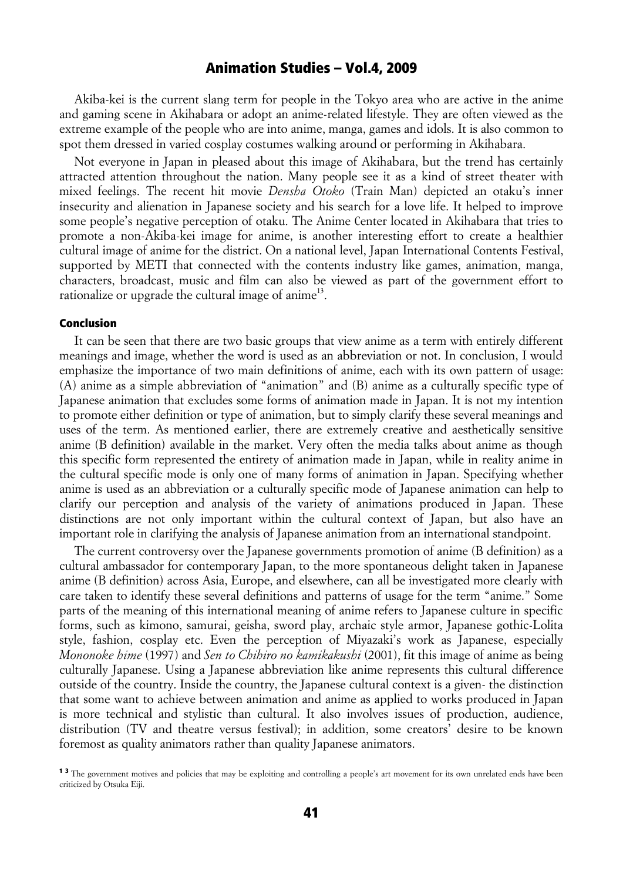Akiba-kei is the current slang term for people in the Tokyo area who are active in the anime and gaming scene in Akihabara or adopt an anime-related lifestyle. They are often viewed as the extreme example of the people who are into anime, manga, games and idols. It is also common to spot them dressed in varied cosplay costumes walking around or performing in Akihabara.

Not everyone in Japan in pleased about this image of Akihabara, but the trend has certainly attracted attention throughout the nation. Many people see it as a kind of street theater with mixed feelings. The recent hit movie *Densha Otoko* (Train Man) depicted an otaku's inner insecurity and alienation in Japanese society and his search for a love life. It helped to improve some people's negative perception of otaku. The Anime Center located in Akihabara that tries to promote a non-Akiba-kei image for anime, is another interesting effort to create a healthier cultural image of anime for the district. On a national level, Japan International Contents Festival, supported by METI that connected with the contents industry like games, animation, manga, characters, broadcast, music and film can also be viewed as part of the government effort to rationalize or upgrade the cultural image of anime<sup>13</sup>.

#### Conclusion

It can be seen that there are two basic groups that view anime as a term with entirely different meanings and image, whether the word is used as an abbreviation or not. In conclusion, I would emphasize the importance of two main definitions of anime, each with its own pattern of usage: (A) anime as a simple abbreviation of "animation" and (B) anime as a culturally specific type of Japanese animation that excludes some forms of animation made in Japan. It is not my intention to promote either definition or type of animation, but to simply clarify these several meanings and uses of the term. As mentioned earlier, there are extremely creative and aesthetically sensitive anime (B definition) available in the market. Very often the media talks about anime as though this specific form represented the entirety of animation made in Japan, while in reality anime in the cultural specific mode is only one of many forms of animation in Japan. Specifying whether anime is used as an abbreviation or a culturally specific mode of Japanese animation can help to clarify our perception and analysis of the variety of animations produced in Japan. These distinctions are not only important within the cultural context of Japan, but also have an important role in clarifying the analysis of Japanese animation from an international standpoint.

The current controversy over the Japanese governments promotion of anime (B definition) as a cultural ambassador for contemporary Japan, to the more spontaneous delight taken in Japanese anime (B definition) across Asia, Europe, and elsewhere, can all be investigated more clearly with care taken to identify these several definitions and patterns of usage for the term "anime." Some parts of the meaning of this international meaning of anime refers to Japanese culture in specific forms, such as kimono, samurai, geisha, sword play, archaic style armor, Japanese gothic-Lolita style, fashion, cosplay etc. Even the perception of Miyazaki's work as Japanese, especially *Mononoke hime* (1997) and *Sen to Chihiro no kamikakushi* (2001), fit this image of anime as being culturally Japanese. Using a Japanese abbreviation like anime represents this cultural difference outside of the country. Inside the country, the Japanese cultural context is a given- the distinction that some want to achieve between animation and anime as applied to works produced in Japan is more technical and stylistic than cultural. It also involves issues of production, audience, distribution (TV and theatre versus festival); in addition, some creators' desire to be known foremost as quality animators rather than quality Japanese animators.

<sup>&</sup>lt;sup>13</sup> The government motives and policies that may be exploiting and controlling a people's art movement for its own unrelated ends have been criticized by Otsuka Eiji.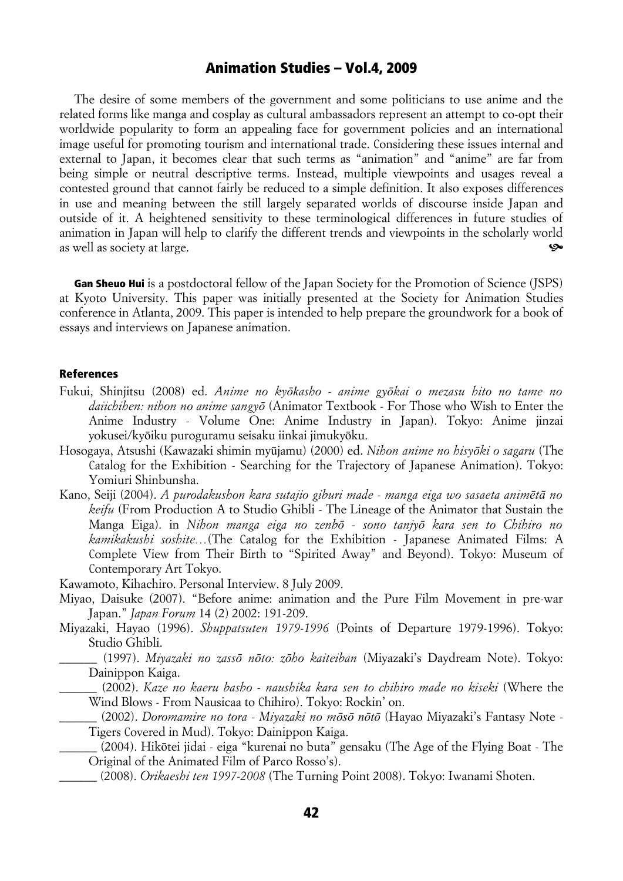The desire of some members of the government and some politicians to use anime and the related forms like manga and cosplay as cultural ambassadors represent an attempt to co-opt their worldwide popularity to form an appealing face for government policies and an international image useful for promoting tourism and international trade. Considering these issues internal and external to Japan, it becomes clear that such terms as "animation" and "anime" are far from being simple or neutral descriptive terms. Instead, multiple viewpoints and usages reveal a contested ground that cannot fairly be reduced to a simple definition. It also exposes differences in use and meaning between the still largely separated worlds of discourse inside Japan and outside of it. A heightened sensitivity to these terminological differences in future studies of animation in Japan will help to clarify the different trends and viewpoints in the scholarly world as well as society at large. ^

Gan Sheuo Hui is a postdoctoral fellow of the Japan Society for the Promotion of Science (JSPS) at Kyoto University. This paper was initially presented at the Society for Animation Studies conference in Atlanta, 2009. This paper is intended to help prepare the groundwork for a book of essays and interviews on Japanese animation.

#### References

- Fukui, Shinjitsu (2008) ed. *Anime no kyōkasho anime gyōkai o mezasu hito no tame no daiichihen: nihon no anime sangyō* (Animator Textbook - For Those who Wish to Enter the Anime Industry - Volume One: Anime Industry in Japan). Tokyo: Anime jinzai yokusei/kyōiku puroguramu seisaku iinkai jimukyōku.
- Hosogaya, Atsushi (Kawazaki shimin myūjamu) (2000) ed. *Nihon anime no hisyōki o sagaru* (The Catalog for the Exhibition - Searching for the Trajectory of Japanese Animation). Tokyo: Yomiuri Shinbunsha.
- Kano, Seiji (2004). *A purodakushon kara sutajio giburi made manga eiga wo sasaeta animētā no keifu* (From Production A to Studio Ghibli - The Lineage of the Animator that Sustain the Manga Eiga). in *Nihon manga eiga no zenbō - sono tanjyō kara sen to Chihiro no kamikakushi soshite…*(The Catalog for the Exhibition - Japanese Animated Films: A Complete View from Their Birth to "Spirited Away" and Beyond). Tokyo: Museum of Contemporary Art Tokyo.
- Kawamoto, Kihachiro. Personal Interview. 8 July 2009.
- Miyao, Daisuke (2007). "Before anime: animation and the Pure Film Movement in pre-war Japan." *Japan Forum* 14 (2) 2002: 191-209.
- Miyazaki, Hayao (1996). *Shuppatsuten 1979-1996* (Points of Departure 1979-1996). Tokyo: Studio Ghibli.
	- \_\_\_\_\_\_ (1997). *Miyazaki no zassō nōto: zōho kaiteiban* (Miyazaki's Daydream Note). Tokyo: Dainippon Kaiga.
		- \_\_\_\_\_\_ (2002). *Kaze no kaeru basho naushika kara sen to chihiro made no kiseki* (Where the Wind Blows - From Nausicaa to Chihiro). Tokyo: Rockin' on.

\_\_\_\_\_\_ (2002). *Doromamire no tora - Miyazaki no mōsō nōtō* (Hayao Miyazaki's Fantasy Note - Tigers Covered in Mud). Tokyo: Dainippon Kaiga.

- \_\_\_\_\_\_ (2004). Hikōtei jidai eiga "kurenai no buta" gensaku (The Age of the Flying Boat The Original of the Animated Film of Parco Rosso's).
- \_\_\_\_\_\_ (2008). *Orikaeshi ten 1997-2008* (The Turning Point 2008). Tokyo: Iwanami Shoten.